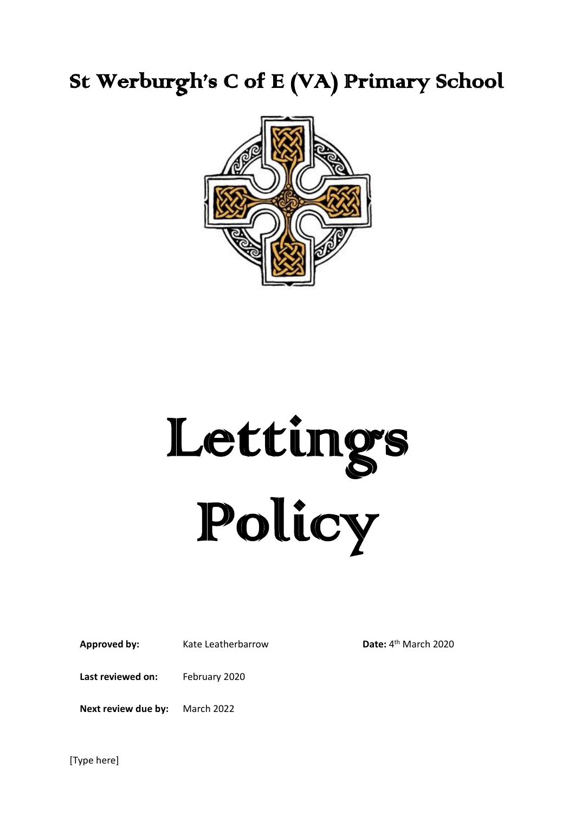## St Werburgh's C of E (VA) Primary School



# Lettings Policy

**Approved by:** Kate Leatherbarrow

Date: 4<sup>th</sup> March 2020

**Last reviewed on:** February 2020

**Next review due by:** March 2022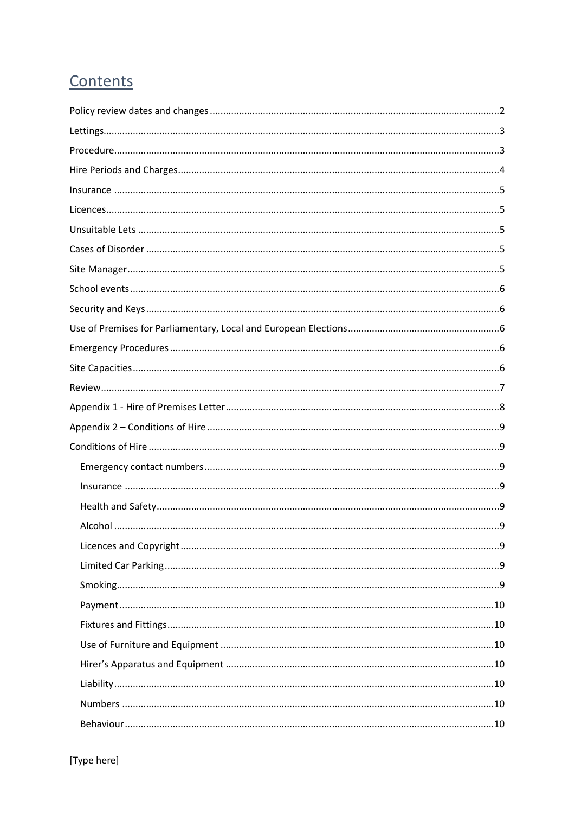## Contents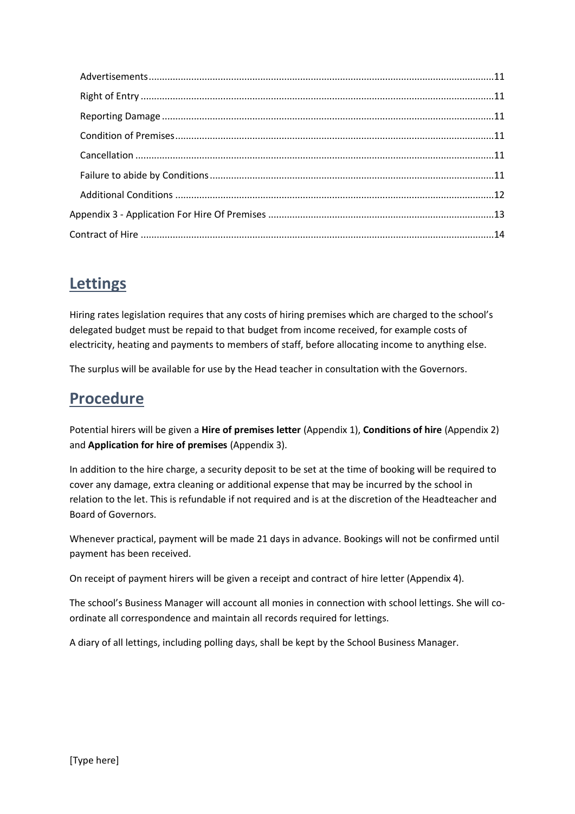## <span id="page-2-0"></span>**Lettings**

Hiring rates legislation requires that any costs of hiring premises which are charged to the school's delegated budget must be repaid to that budget from income received, for example costs of electricity, heating and payments to members of staff, before allocating income to anything else.

The surplus will be available for use by the Head teacher in consultation with the Governors.

## <span id="page-2-1"></span>**Procedure**

Potential hirers will be given a **Hire of premises letter** (Appendix 1), **Conditions of hire** (Appendix 2) and **Application for hire of premises** (Appendix 3).

In addition to the hire charge, a security deposit to be set at the time of booking will be required to cover any damage, extra cleaning or additional expense that may be incurred by the school in relation to the let. This is refundable if not required and is at the discretion of the Headteacher and Board of Governors.

Whenever practical, payment will be made 21 days in advance. Bookings will not be confirmed until payment has been received.

On receipt of payment hirers will be given a receipt and contract of hire letter (Appendix 4).

The school's Business Manager will account all monies in connection with school lettings. She will coordinate all correspondence and maintain all records required for lettings.

A diary of all lettings, including polling days, shall be kept by the School Business Manager.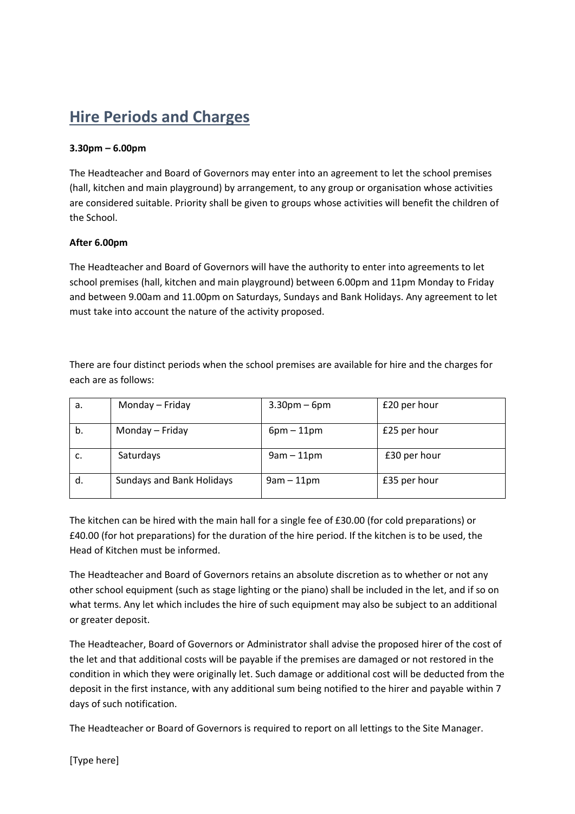## <span id="page-3-0"></span>**Hire Periods and Charges**

#### **3.30pm – 6.00pm**

The Headteacher and Board of Governors may enter into an agreement to let the school premises (hall, kitchen and main playground) by arrangement, to any group or organisation whose activities are considered suitable. Priority shall be given to groups whose activities will benefit the children of the School.

#### **After 6.00pm**

The Headteacher and Board of Governors will have the authority to enter into agreements to let school premises (hall, kitchen and main playground) between 6.00pm and 11pm Monday to Friday and between 9.00am and 11.00pm on Saturdays, Sundays and Bank Holidays. Any agreement to let must take into account the nature of the activity proposed.

There are four distinct periods when the school premises are available for hire and the charges for each are as follows:

| а. | Monday - Friday                  | $3.30pm - 6pm$ | £20 per hour |
|----|----------------------------------|----------------|--------------|
| b. | Monday – Friday                  | $6pm - 11pm$   | £25 per hour |
| c. | Saturdays                        | $9am - 11pm$   | £30 per hour |
| d. | <b>Sundays and Bank Holidays</b> | $9am - 11pm$   | £35 per hour |

The kitchen can be hired with the main hall for a single fee of £30.00 (for cold preparations) or £40.00 (for hot preparations) for the duration of the hire period. If the kitchen is to be used, the Head of Kitchen must be informed.

The Headteacher and Board of Governors retains an absolute discretion as to whether or not any other school equipment (such as stage lighting or the piano) shall be included in the let, and if so on what terms. Any let which includes the hire of such equipment may also be subject to an additional or greater deposit.

The Headteacher, Board of Governors or Administrator shall advise the proposed hirer of the cost of the let and that additional costs will be payable if the premises are damaged or not restored in the condition in which they were originally let. Such damage or additional cost will be deducted from the deposit in the first instance, with any additional sum being notified to the hirer and payable within 7 days of such notification.

The Headteacher or Board of Governors is required to report on all lettings to the Site Manager.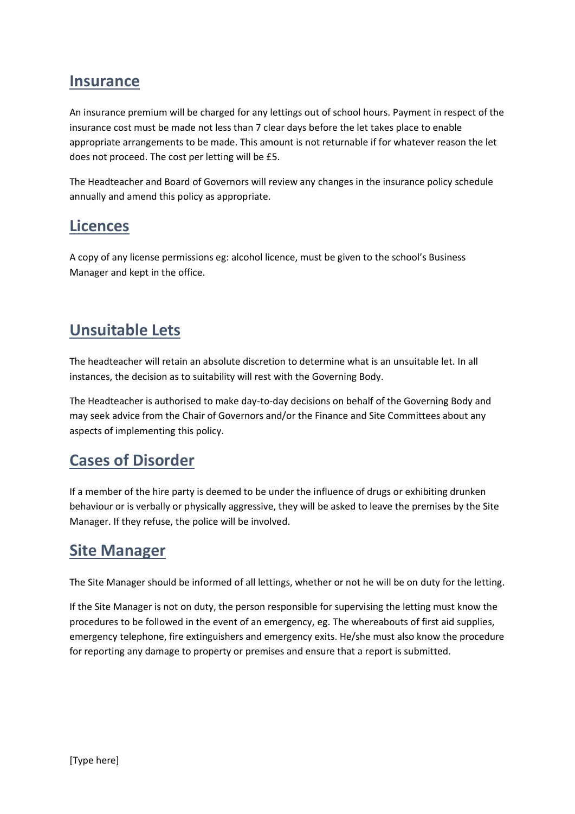### <span id="page-4-0"></span>**Insurance**

An insurance premium will be charged for any lettings out of school hours. Payment in respect of the insurance cost must be made not less than 7 clear days before the let takes place to enable appropriate arrangements to be made. This amount is not returnable if for whatever reason the let does not proceed. The cost per letting will be £5.

The Headteacher and Board of Governors will review any changes in the insurance policy schedule annually and amend this policy as appropriate.

## <span id="page-4-1"></span>**Licences**

A copy of any license permissions eg: alcohol licence, must be given to the school's Business Manager and kept in the office.

## <span id="page-4-2"></span>**Unsuitable Lets**

The headteacher will retain an absolute discretion to determine what is an unsuitable let. In all instances, the decision as to suitability will rest with the Governing Body.

The Headteacher is authorised to make day-to-day decisions on behalf of the Governing Body and may seek advice from the Chair of Governors and/or the Finance and Site Committees about any aspects of implementing this policy.

## <span id="page-4-3"></span>**Cases of Disorder**

If a member of the hire party is deemed to be under the influence of drugs or exhibiting drunken behaviour or is verbally or physically aggressive, they will be asked to leave the premises by the Site Manager. If they refuse, the police will be involved.

## <span id="page-4-4"></span>**Site Manager**

The Site Manager should be informed of all lettings, whether or not he will be on duty for the letting.

If the Site Manager is not on duty, the person responsible for supervising the letting must know the procedures to be followed in the event of an emergency, eg. The whereabouts of first aid supplies, emergency telephone, fire extinguishers and emergency exits. He/she must also know the procedure for reporting any damage to property or premises and ensure that a report is submitted.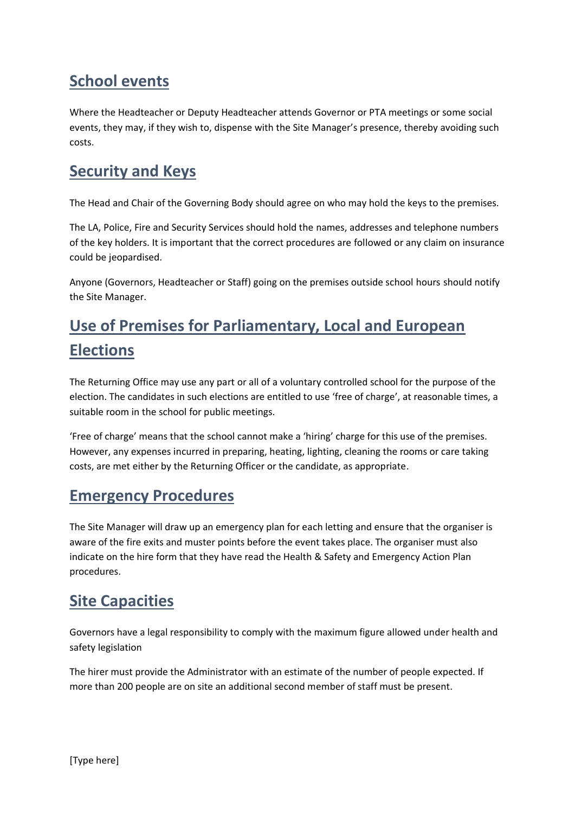## <span id="page-5-0"></span>**School events**

Where the Headteacher or Deputy Headteacher attends Governor or PTA meetings or some social events, they may, if they wish to, dispense with the Site Manager's presence, thereby avoiding such costs.

## <span id="page-5-1"></span>**Security and Keys**

The Head and Chair of the Governing Body should agree on who may hold the keys to the premises.

The LA, Police, Fire and Security Services should hold the names, addresses and telephone numbers of the key holders. It is important that the correct procedures are followed or any claim on insurance could be jeopardised.

Anyone (Governors, Headteacher or Staff) going on the premises outside school hours should notify the Site Manager.

## <span id="page-5-2"></span>**Use of Premises for Parliamentary, Local and European Elections**

The Returning Office may use any part or all of a voluntary controlled school for the purpose of the election. The candidates in such elections are entitled to use 'free of charge', at reasonable times, a suitable room in the school for public meetings.

'Free of charge' means that the school cannot make a 'hiring' charge for this use of the premises. However, any expenses incurred in preparing, heating, lighting, cleaning the rooms or care taking costs, are met either by the Returning Officer or the candidate, as appropriate.

## <span id="page-5-3"></span>**Emergency Procedures**

The Site Manager will draw up an emergency plan for each letting and ensure that the organiser is aware of the fire exits and muster points before the event takes place. The organiser must also indicate on the hire form that they have read the Health & Safety and Emergency Action Plan procedures.

## <span id="page-5-4"></span>**Site Capacities**

Governors have a legal responsibility to comply with the maximum figure allowed under health and safety legislation

The hirer must provide the Administrator with an estimate of the number of people expected. If more than 200 people are on site an additional second member of staff must be present.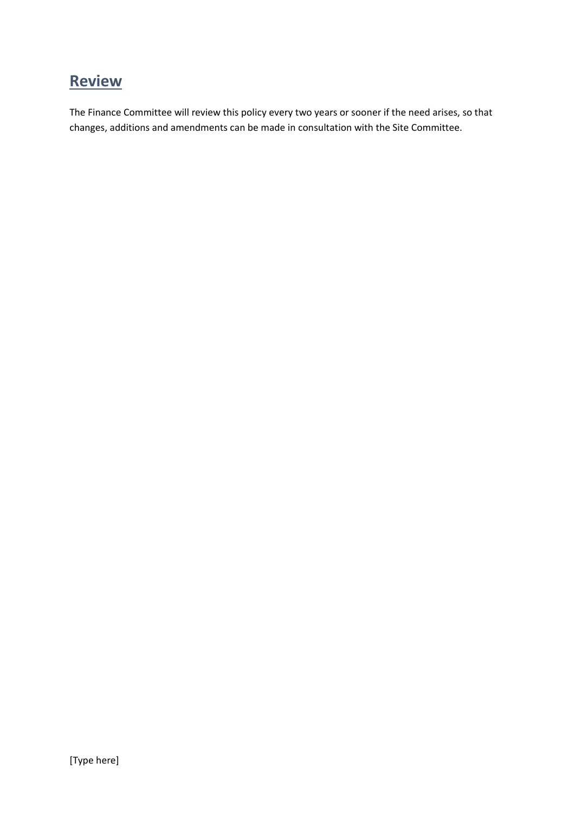## <span id="page-6-0"></span>**Review**

The Finance Committee will review this policy every two years or sooner if the need arises, so that changes, additions and amendments can be made in consultation with the Site Committee.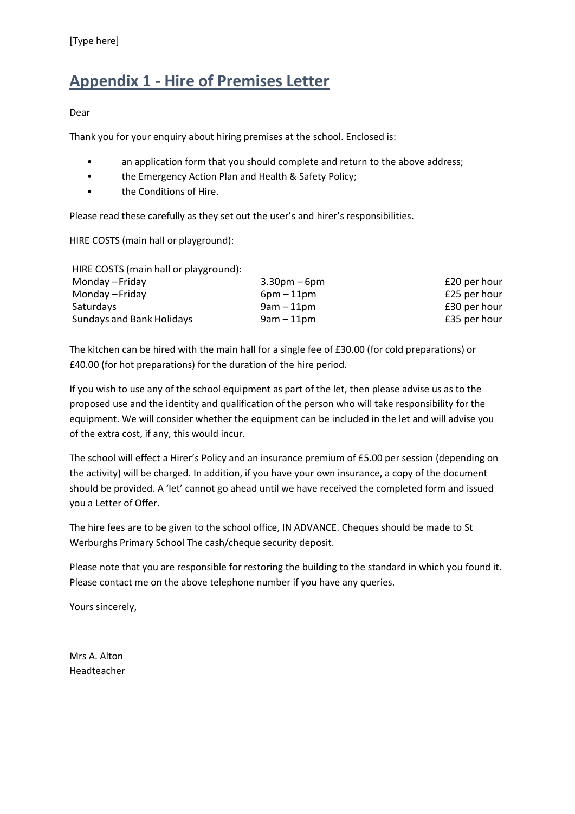## <span id="page-7-0"></span>**Appendix 1 - Hire of Premises Letter**

Dear

Thank you for your enquiry about hiring premises at the school. Enclosed is:

- an application form that you should complete and return to the above address;
- the Emergency Action Plan and Health & Safety Policy;
- the Conditions of Hire.

Please read these carefully as they set out the user's and hirer's responsibilities.

HIRE COSTS (main hall or playground):

| HIRE COSTS (main hall or playground): |                 |              |
|---------------------------------------|-----------------|--------------|
| Monday – Friday                       | $3.30pm - 6pm$  | £20 per hour |
| Monday – Friday                       | $6$ pm $-11$ pm | £25 per hour |
| Saturdays                             | $9am - 11pm$    | £30 per hour |
| <b>Sundays and Bank Holidays</b>      | $9am - 11pm$    | £35 per hour |

The kitchen can be hired with the main hall for a single fee of £30.00 (for cold preparations) or £40.00 (for hot preparations) for the duration of the hire period.

If you wish to use any of the school equipment as part of the let, then please advise us as to the proposed use and the identity and qualification of the person who will take responsibility for the equipment. We will consider whether the equipment can be included in the let and will advise you of the extra cost, if any, this would incur.

The school will effect a Hirer's Policy and an insurance premium of £5.00 per session (depending on the activity) will be charged. In addition, if you have your own insurance, a copy of the document should be provided. A 'let' cannot go ahead until we have received the completed form and issued you a Letter of Offer.

The hire fees are to be given to the school office, IN ADVANCE. Cheques should be made to St Werburghs Primary School The cash/cheque security deposit.

Please note that you are responsible for restoring the building to the standard in which you found it. Please contact me on the above telephone number if you have any queries.

Yours sincerely,

Mrs A. Alton Headteacher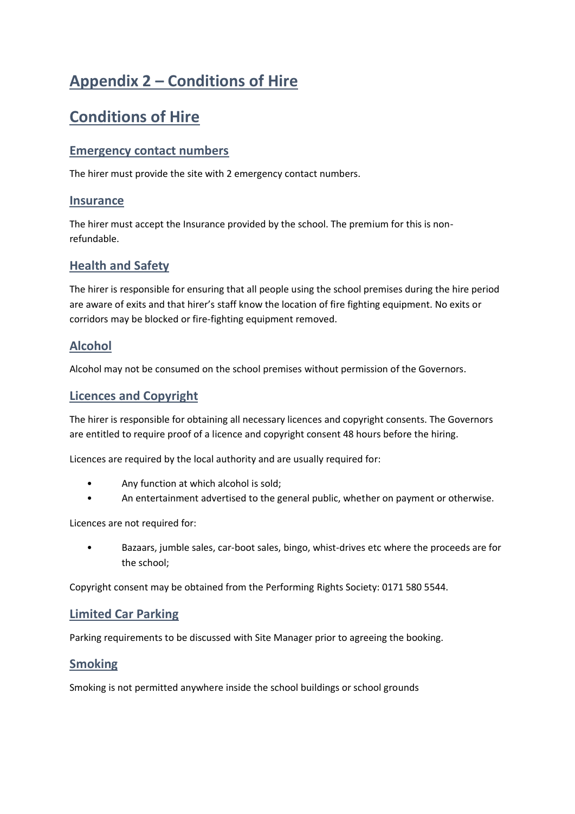## <span id="page-8-0"></span>**Appendix 2 – Conditions of Hire**

## <span id="page-8-1"></span>**Conditions of Hire**

#### <span id="page-8-2"></span>**Emergency contact numbers**

The hirer must provide the site with 2 emergency contact numbers.

#### <span id="page-8-3"></span>**Insurance**

The hirer must accept the Insurance provided by the school. The premium for this is nonrefundable.

#### <span id="page-8-4"></span>**Health and Safety**

The hirer is responsible for ensuring that all people using the school premises during the hire period are aware of exits and that hirer's staff know the location of fire fighting equipment. No exits or corridors may be blocked or fire-fighting equipment removed.

#### <span id="page-8-5"></span>**Alcohol**

Alcohol may not be consumed on the school premises without permission of the Governors.

#### <span id="page-8-6"></span>**Licences and Copyright**

The hirer is responsible for obtaining all necessary licences and copyright consents. The Governors are entitled to require proof of a licence and copyright consent 48 hours before the hiring.

Licences are required by the local authority and are usually required for:

- Any function at which alcohol is sold;
- An entertainment advertised to the general public, whether on payment or otherwise.

Licences are not required for:

• Bazaars, jumble sales, car-boot sales, bingo, whist-drives etc where the proceeds are for the school;

Copyright consent may be obtained from the Performing Rights Society: 0171 580 5544.

#### <span id="page-8-7"></span>**Limited Car Parking**

Parking requirements to be discussed with Site Manager prior to agreeing the booking.

#### <span id="page-8-8"></span>**Smoking**

Smoking is not permitted anywhere inside the school buildings or school grounds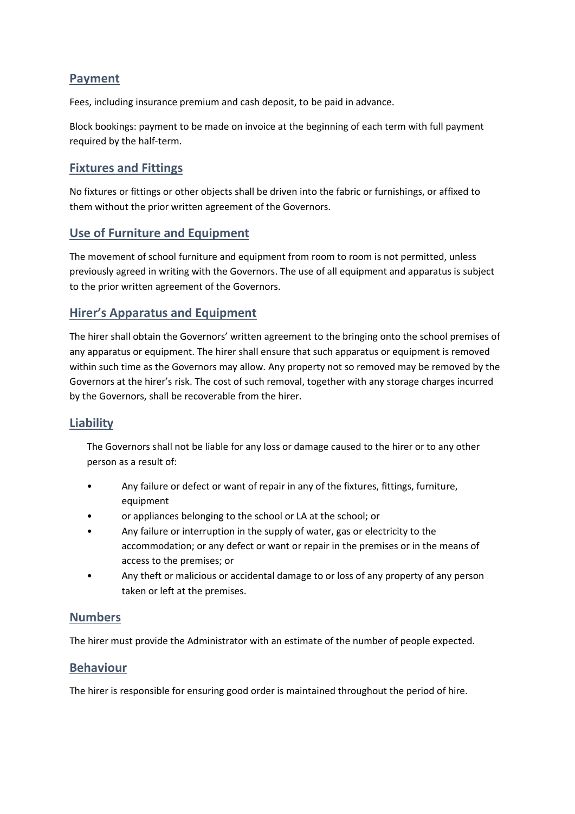#### <span id="page-9-0"></span>**Payment**

Fees, including insurance premium and cash deposit, to be paid in advance.

Block bookings: payment to be made on invoice at the beginning of each term with full payment required by the half-term.

#### <span id="page-9-1"></span>**Fixtures and Fittings**

No fixtures or fittings or other objects shall be driven into the fabric or furnishings, or affixed to them without the prior written agreement of the Governors.

#### <span id="page-9-2"></span>**Use of Furniture and Equipment**

The movement of school furniture and equipment from room to room is not permitted, unless previously agreed in writing with the Governors. The use of all equipment and apparatus is subject to the prior written agreement of the Governors.

#### <span id="page-9-3"></span>**Hirer's Apparatus and Equipment**

The hirer shall obtain the Governors' written agreement to the bringing onto the school premises of any apparatus or equipment. The hirer shall ensure that such apparatus or equipment is removed within such time as the Governors may allow. Any property not so removed may be removed by the Governors at the hirer's risk. The cost of such removal, together with any storage charges incurred by the Governors, shall be recoverable from the hirer.

#### <span id="page-9-4"></span>**Liability**

The Governors shall not be liable for any loss or damage caused to the hirer or to any other person as a result of:

- Any failure or defect or want of repair in any of the fixtures, fittings, furniture, equipment
- or appliances belonging to the school or LA at the school; or
- Any failure or interruption in the supply of water, gas or electricity to the accommodation; or any defect or want or repair in the premises or in the means of access to the premises; or
- Any theft or malicious or accidental damage to or loss of any property of any person taken or left at the premises.

#### <span id="page-9-5"></span>**Numbers**

The hirer must provide the Administrator with an estimate of the number of people expected.

#### <span id="page-9-6"></span>**Behaviour**

The hirer is responsible for ensuring good order is maintained throughout the period of hire.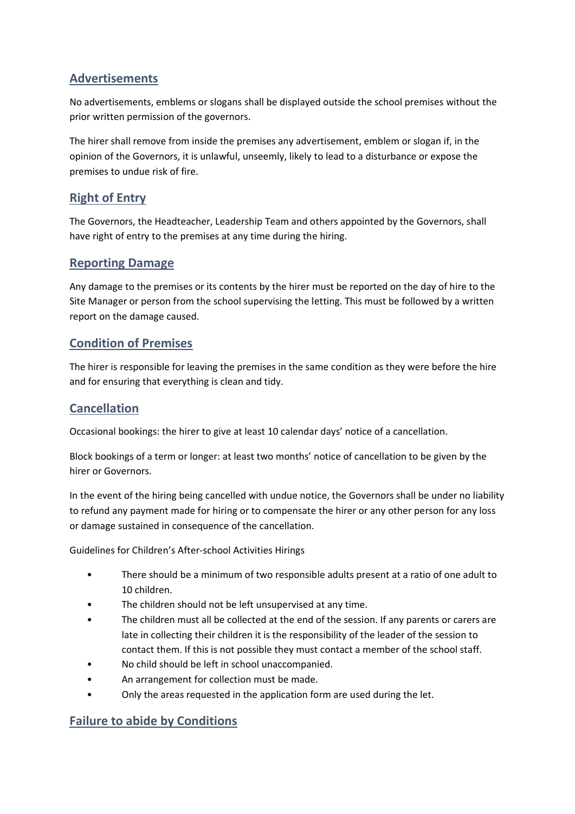#### <span id="page-10-0"></span>**Advertisements**

No advertisements, emblems or slogans shall be displayed outside the school premises without the prior written permission of the governors.

The hirer shall remove from inside the premises any advertisement, emblem or slogan if, in the opinion of the Governors, it is unlawful, unseemly, likely to lead to a disturbance or expose the premises to undue risk of fire.

#### <span id="page-10-1"></span>**Right of Entry**

The Governors, the Headteacher, Leadership Team and others appointed by the Governors, shall have right of entry to the premises at any time during the hiring.

#### <span id="page-10-2"></span>**Reporting Damage**

Any damage to the premises or its contents by the hirer must be reported on the day of hire to the Site Manager or person from the school supervising the letting. This must be followed by a written report on the damage caused.

#### <span id="page-10-3"></span>**Condition of Premises**

The hirer is responsible for leaving the premises in the same condition as they were before the hire and for ensuring that everything is clean and tidy.

#### <span id="page-10-4"></span>**Cancellation**

Occasional bookings: the hirer to give at least 10 calendar days' notice of a cancellation.

Block bookings of a term or longer: at least two months' notice of cancellation to be given by the hirer or Governors.

In the event of the hiring being cancelled with undue notice, the Governors shall be under no liability to refund any payment made for hiring or to compensate the hirer or any other person for any loss or damage sustained in consequence of the cancellation.

Guidelines for Children's After-school Activities Hirings

- There should be a minimum of two responsible adults present at a ratio of one adult to 10 children.
- The children should not be left unsupervised at any time.
- The children must all be collected at the end of the session. If any parents or carers are late in collecting their children it is the responsibility of the leader of the session to contact them. If this is not possible they must contact a member of the school staff.
- No child should be left in school unaccompanied.
- An arrangement for collection must be made.
- Only the areas requested in the application form are used during the let.

#### <span id="page-10-5"></span>**Failure to abide by Conditions**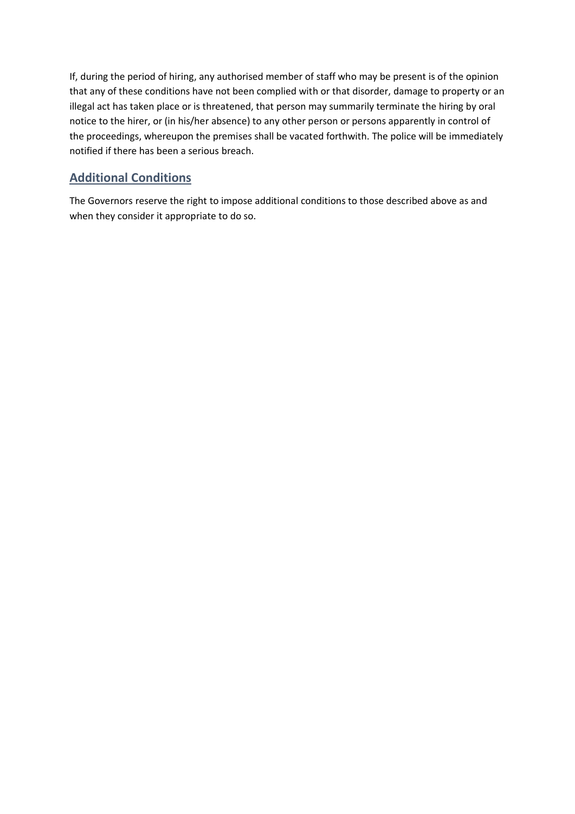If, during the period of hiring, any authorised member of staff who may be present is of the opinion that any of these conditions have not been complied with or that disorder, damage to property or an illegal act has taken place or is threatened, that person may summarily terminate the hiring by oral notice to the hirer, or (in his/her absence) to any other person or persons apparently in control of the proceedings, whereupon the premises shall be vacated forthwith. The police will be immediately notified if there has been a serious breach.

#### <span id="page-11-0"></span>**Additional Conditions**

The Governors reserve the right to impose additional conditions to those described above as and when they consider it appropriate to do so.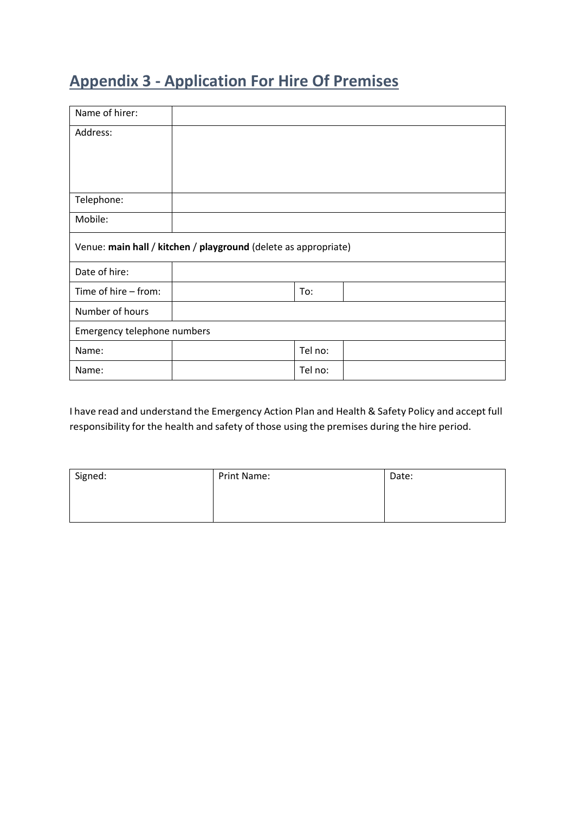## <span id="page-12-0"></span>**Appendix 3 - Application For Hire Of Premises**

| Name of hirer:                                                  |  |         |  |
|-----------------------------------------------------------------|--|---------|--|
| Address:                                                        |  |         |  |
|                                                                 |  |         |  |
|                                                                 |  |         |  |
| Telephone:                                                      |  |         |  |
|                                                                 |  |         |  |
| Mobile:                                                         |  |         |  |
| Venue: main hall / kitchen / playground (delete as appropriate) |  |         |  |
| Date of hire:                                                   |  |         |  |
| Time of hire - from:                                            |  | To:     |  |
| Number of hours                                                 |  |         |  |
| Emergency telephone numbers                                     |  |         |  |
| Name:                                                           |  | Tel no: |  |
| Name:                                                           |  | Tel no: |  |

I have read and understand the Emergency Action Plan and Health & Safety Policy and accept full responsibility for the health and safety of those using the premises during the hire period.

| Signed: | Print Name: | Date: |
|---------|-------------|-------|
|         |             |       |
|         |             |       |